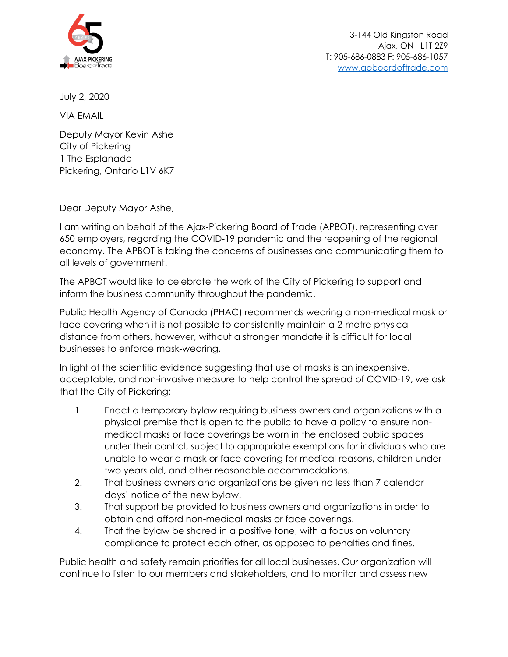

July 2, 2020

VIA EMAIL

Deputy Mayor Kevin Ashe City of Pickering 1 The Esplanade Pickering, Ontario L1V 6K7

Dear Deputy Mayor Ashe,

I am writing on behalf of the Ajax-Pickering Board of Trade (APBOT), representing over 650 employers, regarding the COVID-19 pandemic and the reopening of the regional economy. The APBOT is taking the concerns of businesses and communicating them to all levels of government.

The APBOT would like to celebrate the work of the City of Pickering to support and inform the business community throughout the pandemic.

Public Health Agency of Canada (PHAC) recommends wearing a non-medical mask or face covering when it is not possible to consistently maintain a 2-metre physical distance from others, however, without a stronger mandate it is difficult for local businesses to enforce mask-wearing.

In light of the scientific evidence suggesting that use of masks is an inexpensive, acceptable, and non-invasive measure to help control the spread of COVID-19, we ask that the City of Pickering:

- 1. Enact a temporary bylaw requiring business owners and organizations with a physical premise that is open to the public to have a policy to ensure nonmedical masks or face coverings be worn in the enclosed public spaces under their control, subject to appropriate exemptions for individuals who are unable to wear a mask or face covering for medical reasons, children under two years old, and other reasonable accommodations.
- 2. That business owners and organizations be given no less than 7 calendar days' notice of the new bylaw.
- 3. That support be provided to business owners and organizations in order to obtain and afford non-medical masks or face coverings.
- 4. That the bylaw be shared in a positive tone, with a focus on voluntary compliance to protect each other, as opposed to penalties and fines.

Public health and safety remain priorities for all local businesses. Our organization will continue to listen to our members and stakeholders, and to monitor and assess new